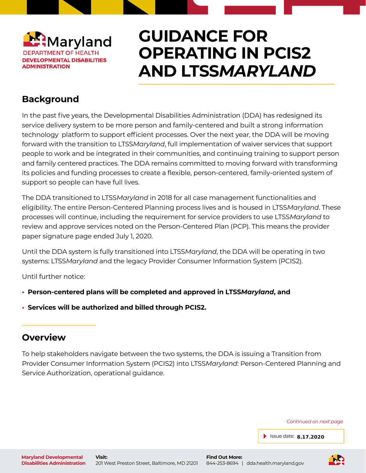

## **GUIDANCE FOR OPERATING IN PCIS2 AND LTSS***MARYLAND* \_\_\_\_\_\_\_\_\_\_\_\_\_\_\_\_\_\_\_\_\_\_\_\_\_\_\_\_\_\_\_\_\_\_\_\_\_\_\_\_\_\_\_\_\_\_\_\_\_\_\_\_\_\_\_\_\_\_\_\_\_\_\_\_

## **Background**

In the past five years, the Developmental Disabilities Administration (DDA) has redesigned its service delivery system to be more person and family-centered and built a strong information technology platform to support efficient processes. Over the next year, the DDA will be moving forward with the transition to LTSS*Maryland*, full implementation of waiver services that support people to work and be integrated in their communities, and continuing training to support person and family centered practices. The DDA remains committed to moving forward with transforming its policies and funding processes to create a flexible, person-centered, family-oriented system of support so people can have full lives.

The DDA transitioned to LTSS*Maryland* in 2018 for all case management functionalities and eligibility. The entire Person-Centered Planning process lives and is housed in LTSS*Maryland*. These processes will continue, including the requirement for service providers to use LTSS*Maryland* to review and approve services noted on the Person-Centered Plan (PCP). This means the provider paper signature page ended July 1, 2020.

Until the DDA system is fully transitioned into LTSS*Maryland*, the DDA will be operating in two systems: LTSS*Maryland* and the legacy Provider Consumer Information System (PCIS2).

Until further notice:

**\_\_\_\_\_\_\_\_\_\_\_\_\_\_\_\_\_\_\_\_\_\_\_**

- **Person-centered plans will be completed and approved in LTSS***Maryland***, and**
- **Services will be authorized and billed through PCIS2.**

### **Overview**

To help stakeholders navigate between the two systems, the DDA is issuing a Transition from Provider Consumer Information System (PCIS2) into LTSS*Maryland*: Person-Centered Planning and Service Authorization, operational guidance.

*Continued on next page*

Issue date: **8.17.2020**

**Visit:** 201 West Preston Street, Baltimore, MD 21201

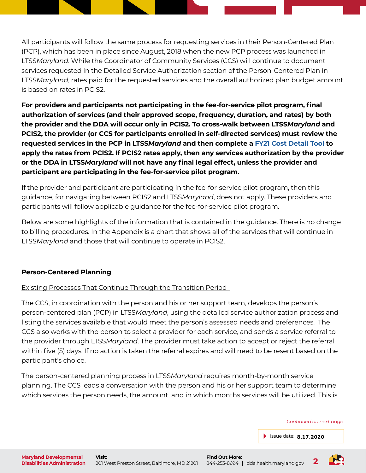All participants will follow the same process for requesting services in their Person-Centered Plan (PCP), which has been in place since August, 2018 when the new PCP process was launched in LTSS*Maryland*. While the Coordinator of Community Services (CCS) will continue to document services requested in the Detailed Service Authorization section of the Person-Centered Plan in LTSS*Maryland*, rates paid for the requested services and the overall authorized plan budget amount is based on rates in PCIS2.

**For providers and participants not participating in the fee-for-service pilot program, final authorization of services (and their approved scope, frequency, duration, and rates) by both the provider and the DDA will occur only in PCIS2. To cross-walk between LTSS***Maryland* **and PCIS2, the provider (or CCS for participants enrolled in self-directed services) must review the requested services in the PCP in LTSS***Maryland* **and then complete a [FY21 Cost Detail Tool](https://dda.health.maryland.gov/Documents/Fiscal/8.10.20/DDA%20Waiver%20Cost%20Detail%208.6.2020.zip) to apply the rates from PCIS2. If PCIS2 rates apply, then any services authorization by the provider or the DDA in LTSS***Maryland* **will not have any final legal effect, unless the provider and participant are participating in the fee-for-service pilot program.**

If the provider and participant are participating in the fee-for-service pilot program, then this guidance, for navigating between PCIS2 and LTSS*Maryland*, does not apply. These providers and participants will follow applicable guidance for the fee-for-service pilot program.

Below are some highlights of the information that is contained in the guidance. There is no change to billing procedures. In the Appendix is a chart that shows all of the services that will continue in LTSS*Maryland* and those that will continue to operate in PCIS2.

#### **Person-Centered Planning**

Existing Processes That Continue Through the Transition Period

The CCS, in coordination with the person and his or her support team, develops the person's person-centered plan (PCP) in LTSS*Maryland*, using the detailed service authorization process and listing the services available that would meet the person's assessed needs and preferences. The CCS also works with the person to select a provider for each service, and sends a service referral to the provider through LTSS*Maryland*. The provider must take action to accept or reject the referral within five (5) days. If no action is taken the referral expires and will need to be resent based on the participant's choice.

The person-centered planning process in LTSS*Maryland* requires month-by-month service planning. The CCS leads a conversation with the person and his or her support team to determine which services the person needs, the amount, and in which months services will be utilized. This is

*Continued on next page*

Issue date: **8.17.2020**

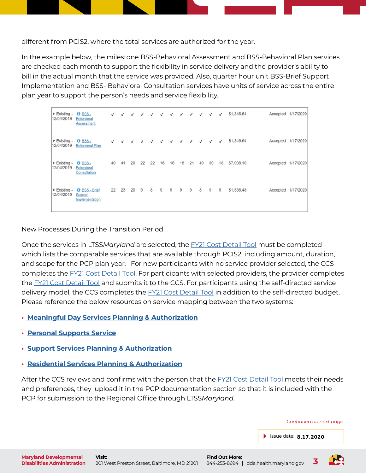different from PCIS2, where the total services are authorized for the year.

In the example below, the milestone BSS-Behavioral Assessment and BSS-Behavioral Plan services are checked each month to support the flexibility in service delivery and the provider's ability to bill in the actual month that the service was provided. Also, quarter hour unit BSS-Brief Support Implementation and BSS- Behavioral Consultation services have units of service across the entire plan year to support the person's needs and service flexibility.

Existing - 0 BSS - $\overline{J}$  $\overline{J}$  $\sqrt{ }$  $\sqrt{ }$  $\overline{\phantom{a}}$ \$1,346.64 Accepted 1/17/2020  $\overline{J}$  $\mathcal{I}$  $\mathcal{I}$  $\mathcal{I}$  $\overline{J}$  $\mathcal{I}$ 12/04/2019 Behavioral Assessment Existing - 8 BSS -\$1,346.64 Accepted 1/17/2020  $\checkmark$  $\checkmark$  $\checkmark$  $\checkmark$  $\checkmark$  $\checkmark$  $\checkmark$  $\checkmark$  $\checkmark$ 12/04/2019 Behavioral Plan  $\triangleright$  Existing -  $\bigcirc$  BSS -40 41 20 22 22 16 18 18 21 40 39 13 \$7,908.10 Accepted 1/17/2020 12/04/2019 Behavioral Consultation Existing - **O** BSS - Brief 22 23 20 9 8  $\mathbf{9}$  $\overline{9}$  $\overline{9}$  $\overline{9}$ 8  $\overline{9}$  $\overline{9}$ \$1,536.48 Accepted 1/17/2020 12/04/2019 Support Implementation

#### New Processes During the Transition Period

Once the services in LTSS*Maryland* are selected, the [FY21 Cost Detail Tool](https://dda.health.maryland.gov/Documents/Fiscal/8.10.20/DDA%20Waiver%20Cost%20Detail%208.6.2020.zip) must be completed which lists the comparable services that are available through PCIS2, including amount, duration, and scope for the PCP plan year. For new participants with no service provider selected, the CCS completes the [FY21 Cost Detail Tool.](https://dda.health.maryland.gov/Documents/Fiscal/8.10.20/DDA%20Waiver%20Cost%20Detail%208.6.2020.zip) For participants with selected providers, the provider completes the [FY21 Cost Detail Tool](https://dda.health.maryland.gov/Documents/Fiscal/8.10.20/DDA%20Waiver%20Cost%20Detail%208.6.2020.zip) and submits it to the CCS. For participants using the self-directed service delivery model, the CCS completes the [FY21 Cost Detail Tool](https://dda.health.maryland.gov/Documents/Fiscal/8.10.20/DDA%20Waiver%20Cost%20Detail%208.6.2020.zip) in addition to the self-directed budget. Please reference the below resources on service mapping between the two systems:

- **• [Meaningful Day Services Planning & Authorization](https://dda.health.maryland.gov/Documents/Transformation/At%20a%20Glance%20Documents/AAG-MeaningfulDayServicesPlanningAuthorization%202%20pager%20(2).pdf)**
- **[Personal Supports Service](https://dda.health.maryland.gov/Documents/Transformation/At%20a%20Glance%20Documents/AAG-PersonalSupportsServicePlanningAuthorizationv2.pdf)**
- **[Support Services Planning & Authorization](https://dda.health.maryland.gov/Documents/Transformation/At%20a%20Glance%20Documents/AAG-SupportServicesPlanningAuthorizationv2%20(2).pdf)**
- **[Residential Services Planning & Authorization](https://dda.health.maryland.gov/Documents/Transformation/At%20a%20Glance%20Documents/AAG-ResidentialServicesPlanningAuthorizationv2%20(1).pdf)**

After the CCS reviews and confirms with the person that the FY21 Cost Detail Tool meets their needs and preferences, they upload it in the PCP documentation section so that it is included with the PCP for submission to the Regional Office through LTSS*Maryland*.

*Continued on next page*

Issue date: **8.17.2020**



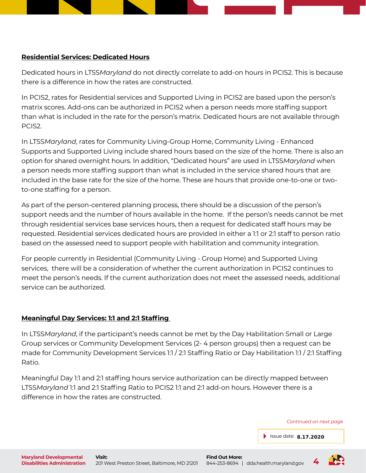

Dedicated hours in LTSS*Maryland* do not directly correlate to add-on hours in PCIS2. This is because there is a difference in how the rates are constructed.

In PCIS2, rates for Residential services and Supported Living in PCIS2 are based upon the person's matrix scores. Add-ons can be authorized in PCIS2 when a person needs more staffing support than what is included in the rate for the person's matrix. Dedicated hours are not available through PCIS2.

In LTSS*Maryland*, rates for Community Living-Group Home, Community Living - Enhanced Supports and Supported Living include shared hours based on the size of the home. There is also an option for shared overnight hours. In addition, "Dedicated hours" are used in LTSS*Maryland* when a person needs more staffing support than what is included in the service shared hours that are included in the base rate for the size of the home. These are hours that provide one-to-one or twoto-one staffing for a person.

As part of the person-centered planning process, there should be a discussion of the person's support needs and the number of hours available in the home. If the person's needs cannot be met through residential services base services hours, then a request for dedicated staff hours may be requested. Residential services dedicated hours are provided in either a 1:1 or 2:1 staff to person ratio based on the assessed need to support people with habilitation and community integration.

For people currently in Residential (Community Living - Group Home) and Supported Living services, there will be a consideration of whether the current authorization in PCIS2 continues to meet the person's needs. If the current authorization does not meet the assessed needs, additional service can be authorized.

#### **Meaningful Day Services: 1:1 and 2:1 Staffing**

In LTSS*Maryland*, if the participant's needs cannot be met by the Day Habilitation Small or Large Group services or Community Development Services (2- 4 person groups) then a request can be made for Community Development Services 1:1 / 2:1 Staffing Ratio or Day Habilitation 1:1 / 2:1 Staffing Ratio.

Meaningful Day 1:1 and 2:1 staffing hours service authorization can be directly mapped between LTSS*Maryland* 1:1 and 2:1 Staffing Ratio to PCIS2 1:1 and 2:1 add-on hours. However there is a difference in how the rates are constructed.

*Continued on next page*

Issue date: **8.17.2020**

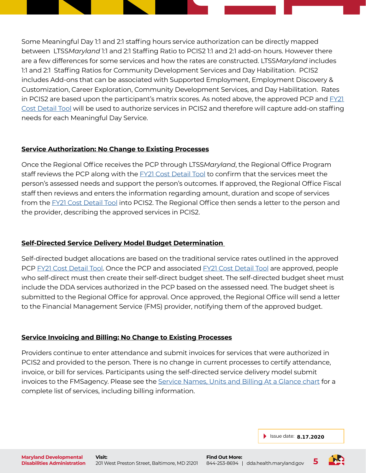Some Meaningful Day 1:1 and 2:1 staffing hours service authorization can be directly mapped between LTSS*Maryland* 1:1 and 2:1 Staffing Ratio to PCIS2 1:1 and 2:1 add-on hours. However there are a few differences for some services and how the rates are constructed. LTSS*Maryland* includes 1:1 and 2:1 Staffing Ratios for Community Development Services and Day Habilitation. PCIS2 includes Add-ons that can be associated with Supported Employment, Employment Discovery & Customization, Career Exploration, Community Development Services, and Day Habilitation. Rates in PCIS2 are based upon the participant's matrix scores. As noted above, the approved PCP and FY21 Cost Detail Tool will be used to authorize services in PCIS2 and therefore will capture add-on staffing needs for each Meaningful Day Service.

#### **Service Authorization: No Change to Existing Processes**

Once the Regional Office receives the PCP through LTSS*Maryland*, the Regional Office Program staff reviews the PCP along with the **FY21 Cost Detail Tool** to confirm that the services meet the person's assessed needs and support the person's outcomes. If approved, the Regional Office Fiscal staff then reviews and enters the information regarding amount, duration and scope of services from the FY21 Cost Detail Tool into PCIS2. The Regional Office then sends a letter to the person and the provider, describing the approved services in PCIS2.

#### **Self-Directed Service Delivery Model Budget Determination**

Self-directed budget allocations are based on the traditional service rates outlined in the approved PCP FY21 Cost Detail Tool. Once the PCP and associated FY21 Cost Detail Tool are approved, people who self-direct must then create their self-direct budget sheet. The self-directed budget sheet must include the DDA services authorized in the PCP based on the assessed need. The budget sheet is submitted to the Regional Office for approval. Once approved, the Regional Office will send a letter to the Financial Management Service (FMS) provider, notifying them of the approved budget.

#### **Service Invoicing and Billing: No Change to Existing Processes**

Providers continue to enter attendance and submit invoices for services that were authorized in PCIS2 and provided to the person. There is no change in current processes to certify attendance, invoice, or bill for services. Participants using the self-directed service delivery model submit invoices to the FMSagency. Please see the [Service Names, Units and Billing At a Glance chart](https://docs.google.com/document/d/1PJVx6iS-Kwbnu59SewBX2XYLrezJNehHzrJoX-yA2D4/edit) for a complete list of services, including billing information.

Issue date: **8.17.2020**

201 West Preston Street, Baltimore, MD 21201 **5**

**Find Out More:**

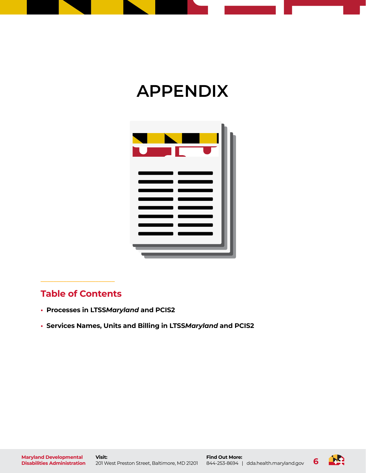

# **APPENDIX**



## **Table of Contents**

**\_\_\_\_\_\_\_\_\_\_\_\_\_\_\_\_\_\_\_\_\_\_\_**

- **Processes in LTSS***Maryland* **and PCIS2**
- **Services Names, Units and Billing in LTSS***Maryland* **and PCIS2**

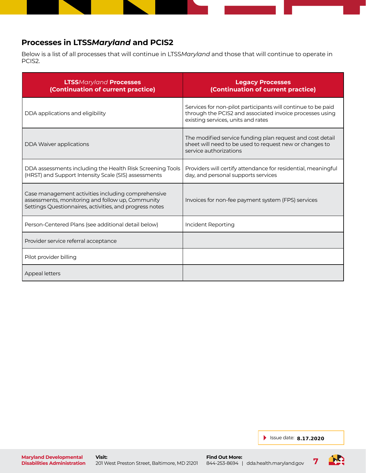#### **Processes in LTSS***Maryland* **and PCIS2**

Below is a list of all processes that will continue in LTSS*Maryland* and those that will continue to operate in PCIS2.

| <b>LTSSMaryland Processes</b><br>(Continuation of current practice)                                                                                               | <b>Legacy Processes</b><br>(Continuation of current practice)                                                                                                  |
|-------------------------------------------------------------------------------------------------------------------------------------------------------------------|----------------------------------------------------------------------------------------------------------------------------------------------------------------|
| DDA applications and eligibility                                                                                                                                  | Services for non-pilot participants will continue to be paid<br>through the PCIS2 and associated invoice processes using<br>existing services, units and rates |
| <b>DDA Waiver applications</b>                                                                                                                                    | The modified service funding plan request and cost detail<br>sheet will need to be used to request new or changes to<br>service authorizations                 |
| DDA assessments including the Health Risk Screening Tools<br>(HRST) and Support Intensity Scale (SIS) assessments                                                 | Providers will certify attendance for residential, meaningful<br>day, and personal supports services                                                           |
| Case management activities including comprehensive<br>assessments, monitoring and follow up, Community<br>Settings Questionnaires, activities, and progress notes | Invoices for non-fee payment system (FPS) services                                                                                                             |
| Person-Centered Plans (see additional detail below)                                                                                                               | Incident Reporting                                                                                                                                             |
| Provider service referral acceptance                                                                                                                              |                                                                                                                                                                |
| Pilot provider billing                                                                                                                                            |                                                                                                                                                                |
| Appeal letters                                                                                                                                                    |                                                                                                                                                                |

Issue date: **8.17.2020**

**Maryland Developmental Disabilities Administration**

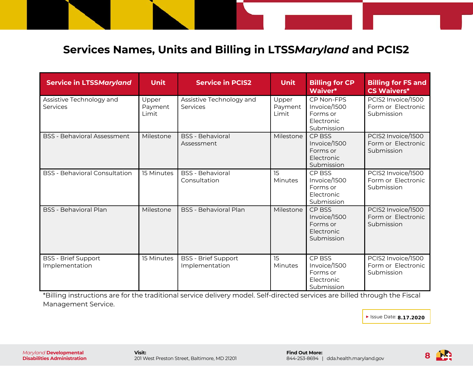## **Services Names, Units and Billing in LTSS***Maryland* **and PCIS2**

| <b>Service in LTSSMaryland</b>               | <b>Unit</b>               | <b>Service in PCIS2</b>                      | <b>Unit</b>               | <b>Billing for CP</b><br>Waiver*                                          | <b>Billing for FS and</b><br><b>CS Waivers*</b>        |
|----------------------------------------------|---------------------------|----------------------------------------------|---------------------------|---------------------------------------------------------------------------|--------------------------------------------------------|
| Assistive Technology and<br>Services         | Upper<br>Payment<br>Limit | Assistive Technology and<br>Services         | Upper<br>Payment<br>Limit | CP Non-FPS<br>Invoice/1500<br>Forms or<br><b>Flectronic</b><br>Submission | PCIS2 Invoice/1500<br>Form or Electronic<br>Submission |
| <b>BSS - Behavioral Assessment</b>           | Milestone                 | <b>BSS</b> - Behavioral<br>Assessment        | Milestone                 | CP BSS<br>Invoice/1500<br>Forms or<br>Electronic<br>Submission            | PCIS2 Invoice/1500<br>Form or Electronic<br>Submission |
| <b>BSS - Behavioral Consultation</b>         | 15 Minutes                | <b>BSS</b> - Behavioral<br>Consultation      | 15<br>Minutes             | CP BSS<br>Invoice/1500<br>Forms or<br>Electronic<br>Submission            | PCIS2 Invoice/1500<br>Form or Electronic<br>Submission |
| <b>BSS - Behavioral Plan</b>                 | Milestone                 | <b>BSS - Behavioral Plan</b>                 | Milestone                 | CP BSS<br>Invoice/1500<br>Forms or<br>Electronic<br>Submission            | PCIS2 Invoice/1500<br>Form or Electronic<br>Submission |
| <b>BSS - Brief Support</b><br>Implementation | 15 Minutes                | <b>BSS - Brief Support</b><br>Implementation | 15<br><b>Minutes</b>      | CP BSS<br>Invoice/1500<br>Forms or<br>Electronic<br>Submission            | PCIS2 Invoice/1500<br>Form or Electronic<br>Submission |

\*Billing instructions are for the traditional service delivery model. Self-directed services are billed through the Fiscal Management Service.

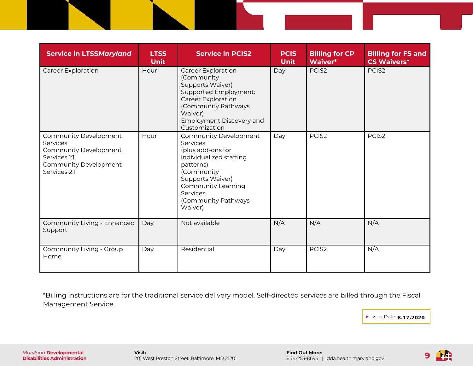| <b>Service in LTSSMaryland</b>                                                                                                    | <b>LTSS</b><br><b>Unit</b> | <b>Service in PCIS2</b>                                                                                                                                                                                     | <b>PCIS</b><br><b>Unit</b> | <b>Billing for CP</b><br>Waiver* | <b>Billing for FS and</b><br><b>CS Waivers*</b> |
|-----------------------------------------------------------------------------------------------------------------------------------|----------------------------|-------------------------------------------------------------------------------------------------------------------------------------------------------------------------------------------------------------|----------------------------|----------------------------------|-------------------------------------------------|
| <b>Career Exploration</b>                                                                                                         | Hour                       | <b>Career Exploration</b><br>(Community<br>Supports Waiver)<br>Supported Employment:<br><b>Career Exploration</b><br>(Community Pathways<br>Waiver)<br>Employment Discovery and<br>Customization            | Day                        | PCIS <sub>2</sub>                | PCIS <sub>2</sub>                               |
| Community Development<br>Services<br><b>Community Development</b><br>Services 1:1<br><b>Community Development</b><br>Services 2:1 | Hour                       | Community Development<br>Services<br>(plus add-ons for<br>individualized staffing<br>patterns)<br>(Community<br>Supports Waiver)<br>Community Learning<br><b>Services</b><br>(Community Pathways<br>Waiver) | Day                        | PCIS <sub>2</sub>                | PCIS <sub>2</sub>                               |
| Community Living - Enhanced<br>Support                                                                                            | Day                        | Not available                                                                                                                                                                                               | N/A                        | N/A                              | N/A                                             |
| Community Living - Group<br>Home                                                                                                  | Day                        | Residential                                                                                                                                                                                                 | Day                        | PCIS <sub>2</sub>                | N/A                                             |

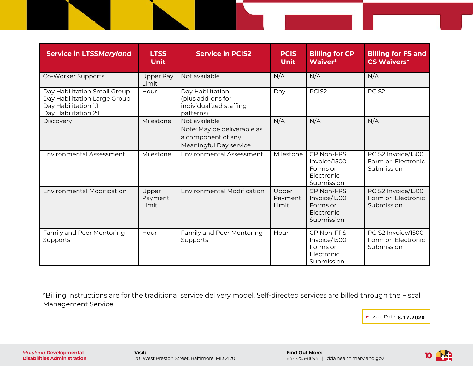| <b>Service in LTSSMaryland</b>                                                                               | <b>LTSS</b><br><b>Unit</b> | <b>Service in PCIS2</b>                                                                      | <b>PCIS</b><br><b>Unit</b> | <b>Billing for CP</b><br>Waiver*                                   | <b>Billing for FS and</b><br><b>CS Waivers*</b>        |
|--------------------------------------------------------------------------------------------------------------|----------------------------|----------------------------------------------------------------------------------------------|----------------------------|--------------------------------------------------------------------|--------------------------------------------------------|
| Co-Worker Supports                                                                                           | <b>Upper Pay</b><br>Limit  | Not available                                                                                | N/A                        | N/A                                                                | N/A                                                    |
| Day Habilitation Small Group<br>Day Habilitation Large Group<br>Day Habilitation 1:1<br>Day Habilitation 2:1 | Hour                       | Day Habilitation<br>(plus add-ons for<br>individualized staffing<br>patterns)                | Day                        | PCIS <sub>2</sub>                                                  | PCIS <sub>2</sub>                                      |
| Discovery                                                                                                    | Milestone                  | Not available<br>Note: May be deliverable as<br>a component of any<br>Meaningful Day service | N/A                        | N/A                                                                | N/A                                                    |
| <b>Environmental Assessment</b>                                                                              | Milestone                  | <b>Environmental Assessment</b>                                                              | Milestone                  | CP Non-FPS<br>Invoice/1500<br>Forms or<br>Electronic<br>Submission | PCIS2 Invoice/1500<br>Form or Electronic<br>Submission |
| <b>Environmental Modification</b>                                                                            | Upper<br>Payment<br>Limit  | <b>Environmental Modification</b>                                                            | Upper<br>Payment<br>Limit  | CP Non-FPS<br>Invoice/1500<br>Forms or<br>Electronic<br>Submission | PCIS2 Invoice/1500<br>Form or Electronic<br>Submission |
| Family and Peer Mentoring<br>Supports                                                                        | Hour                       | Family and Peer Mentoring<br>Supports                                                        | Hour                       | CP Non-FPS<br>Invoice/1500<br>Forms or<br>Electronic<br>Submission | PCIS2 Invoice/1500<br>Form or Electronic<br>Submission |

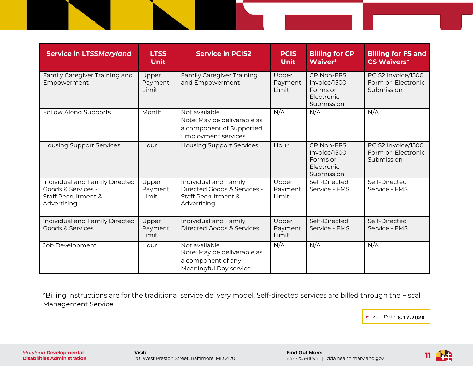| <b>Service in LTSSMaryland</b>                                                                        | <b>LTSS</b><br><b>Unit</b> | <b>Service in PCIS2</b>                                                                                | <b>PCIS</b><br><b>Unit</b> | <b>Billing for CP</b><br>Waiver*                                   | <b>Billing for FS and</b><br><b>CS Waivers*</b>        |
|-------------------------------------------------------------------------------------------------------|----------------------------|--------------------------------------------------------------------------------------------------------|----------------------------|--------------------------------------------------------------------|--------------------------------------------------------|
| Family Caregiver Training and<br>Empowerment                                                          | Upper<br>Payment<br>Limit  | <b>Family Caregiver Training</b><br>and Empowerment                                                    | Upper<br>Payment<br>Limit  | CP Non-FPS<br>Invoice/1500<br>Forms or<br>Electronic<br>Submission | PCIS2 Invoice/1500<br>Form or Electronic<br>Submission |
| Follow Along Supports                                                                                 | Month                      | Not available<br>Note: May be deliverable as<br>a component of Supported<br><b>Employment services</b> | N/A                        | N/A                                                                | N/A                                                    |
| <b>Housing Support Services</b>                                                                       | Hour                       | <b>Housing Support Services</b>                                                                        | Hour                       | CP Non-FPS<br>Invoice/1500<br>Forms or<br>Electronic<br>Submission | PCIS2 Invoice/1500<br>Form or Electronic<br>Submission |
| Individual and Family Directed<br>Goods & Services -<br><b>Staff Recruitment &amp;</b><br>Advertising | Upper<br>Payment<br>Limit  | Individual and Family<br>Directed Goods & Services -<br><b>Staff Recruitment &amp;</b><br>Advertising  | Upper<br>Payment<br>Limit  | Self-Directed<br>Service - FMS                                     | Self-Directed<br>Service - FMS                         |
| Individual and Family Directed<br>Goods & Services                                                    | Upper<br>Payment<br>Limit  | Individual and Family<br><b>Directed Goods &amp; Services</b>                                          | Upper<br>Payment<br>Limit  | Self-Directed<br>Service - FMS                                     | Self-Directed<br>Service - FMS                         |
| Job Development                                                                                       | Hour                       | Not available<br>Note: May be deliverable as<br>a component of any<br>Meaningful Day service           | N/A                        | N/A                                                                | N/A                                                    |

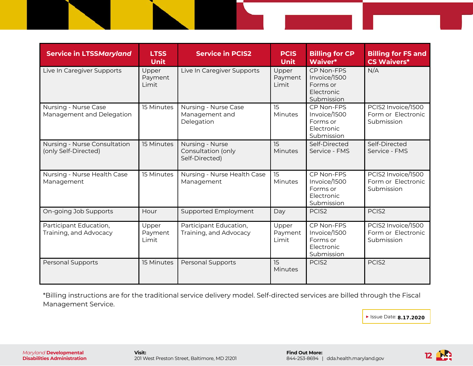| <b>Service in LTSSMaryland</b>                       | <b>LTSS</b><br><b>Unit</b> | <b>Service in PCIS2</b>                                 | <b>PCIS</b><br><b>Unit</b> | <b>Billing for CP</b><br>Waiver*                                   | <b>Billing for FS and</b><br><b>CS Waivers*</b>        |
|------------------------------------------------------|----------------------------|---------------------------------------------------------|----------------------------|--------------------------------------------------------------------|--------------------------------------------------------|
| Live In Caregiver Supports                           | Upper<br>Payment<br>Limit  | Live In Caregiver Supports                              | Upper<br>Payment<br>Limit  | CP Non-FPS<br>Invoice/1500<br>Forms or<br>Electronic<br>Submission | N/A                                                    |
| Nursing - Nurse Case<br>Management and Delegation    | 15 Minutes                 | Nursing - Nurse Case<br>Management and<br>Delegation    | 15<br>Minutes              | CP Non-FPS<br>Invoice/1500<br>Forms or<br>Electronic<br>Submission | PCIS2 Invoice/1500<br>Form or Electronic<br>Submission |
| Nursing - Nurse Consultation<br>(only Self-Directed) | 15 Minutes                 | Nursing - Nurse<br>Consultation (only<br>Self-Directed) | 15<br><b>Minutes</b>       | Self-Directed<br>Service - FMS                                     | Self-Directed<br>Service - FMS                         |
| Nursing - Nurse Health Case<br>Management            | 15 Minutes                 | Nursing - Nurse Health Case<br>Management               | 15<br>Minutes              | CP Non-FPS<br>Invoice/1500<br>Forms or<br>Electronic<br>Submission | PCIS2 Invoice/1500<br>Form or Electronic<br>Submission |
| On-going Job Supports                                | Hour                       | Supported Employment                                    | Day                        | PCIS <sub>2</sub>                                                  | PCIS <sub>2</sub>                                      |
| Participant Education,<br>Training, and Advocacy     | Upper<br>Payment<br>Limit  | Participant Education,<br>Training, and Advocacy        | Upper<br>Payment<br>Limit  | CP Non-FPS<br>Invoice/1500<br>Forms or<br>Electronic<br>Submission | PCIS2 Invoice/1500<br>Form or Electronic<br>Submission |
| Personal Supports                                    | 15 Minutes                 | <b>Personal Supports</b>                                | 15<br>Minutes              | PCIS <sub>2</sub>                                                  | PCIS <sub>2</sub>                                      |

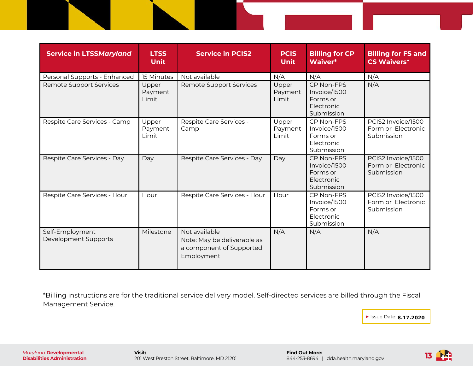| <b>Service in LTSSMaryland</b>          | <b>LTSS</b><br><b>Unit</b> | <b>Service in PCIS2</b>                                                                | <b>PCIS</b><br><b>Unit</b> | <b>Billing for CP</b><br>Waiver*                                          | <b>Billing for FS and</b><br><b>CS Waivers*</b>        |
|-----------------------------------------|----------------------------|----------------------------------------------------------------------------------------|----------------------------|---------------------------------------------------------------------------|--------------------------------------------------------|
| Personal Supports - Enhanced            | 15 Minutes                 | Not available                                                                          | N/A                        | N/A                                                                       | N/A                                                    |
| <b>Remote Support Services</b>          | Upper<br>Payment<br>Limit  | <b>Remote Support Services</b>                                                         | Upper<br>Payment<br>Limit  | CP Non-FPS<br>Invoice/1500<br>Forms or<br>Electronic<br>Submission        | N/A                                                    |
| Respite Care Services - Camp            | Upper<br>Payment<br>Limit  | Respite Care Services -<br>Camp                                                        | Upper<br>Payment<br>Limit  | CP Non-FPS<br>Invoice/1500<br>Forms or<br>Electronic<br>Submission        | PCIS2 Invoice/1500<br>Form or Electronic<br>Submission |
| Respite Care Services - Day             | Day                        | Respite Care Services - Day                                                            | Day                        | CP Non-FPS<br>Invoice/1500<br>Forms or<br><b>Flectronic</b><br>Submission | PCIS2 Invoice/1500<br>Form or Electronic<br>Submission |
| Respite Care Services - Hour            | Hour                       | Respite Care Services - Hour                                                           | Hour                       | CP Non-FPS<br>Invoice/1500<br>Forms or<br>Electronic<br>Submission        | PCIS2 Invoice/1500<br>Form or Electronic<br>Submission |
| Self-Employment<br>Development Supports | Milestone                  | Not available<br>Note: May be deliverable as<br>a component of Supported<br>Employment | N/A                        | N/A                                                                       | N/A                                                    |

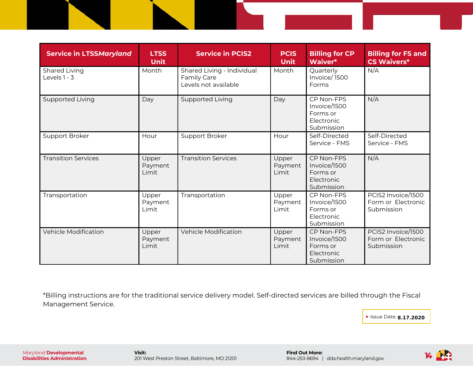| <b>Service in LTSSMaryland</b>  | <b>LTSS</b><br><b>Unit</b> | <b>Service in PCIS2</b>                                           | <b>PCIS</b><br><b>Unit</b> | <b>Billing for CP</b><br>Waiver*                                   | <b>Billing for FS and</b><br><b>CS Waivers*</b>        |
|---------------------------------|----------------------------|-------------------------------------------------------------------|----------------------------|--------------------------------------------------------------------|--------------------------------------------------------|
| Shared Living<br>Levels $1 - 3$ | Month                      | Shared Living - Individual<br>Family Care<br>Levels not available | Month                      | Quarterly<br>Invoice/1500<br>Forms                                 | N/A                                                    |
| Supported Living                | Day                        | Supported Living                                                  | Day                        | CP Non-FPS<br>Invoice/1500<br>Forms or<br>Electronic<br>Submission | N/A                                                    |
| Support Broker                  | Hour                       | Support Broker                                                    | Hour                       | Self-Directed<br>Service - FMS                                     | Self-Directed<br>Service - FMS                         |
| <b>Transition Services</b>      | Upper<br>Payment<br>Limit  | <b>Transition Services</b>                                        | Upper<br>Payment<br>Limit  | CP Non-FPS<br>Invoice/1500<br>Forms or<br>Electronic<br>Submission | N/A                                                    |
| Transportation                  | Upper<br>Payment<br>Limit  | Transportation                                                    | Upper<br>Payment<br>Limit  | CP Non-FPS<br>Invoice/1500<br>Forms or<br>Electronic<br>Submission | PCIS2 Invoice/1500<br>Form or Electronic<br>Submission |
| <b>Vehicle Modification</b>     | Upper<br>Payment<br>Limit  | <b>Vehicle Modification</b>                                       | Upper<br>Payment<br>Limit  | CP Non-FPS<br>Invoice/1500<br>Forms or<br>Electronic<br>Submission | PCIS2 Invoice/1500<br>Form or Electronic<br>Submission |